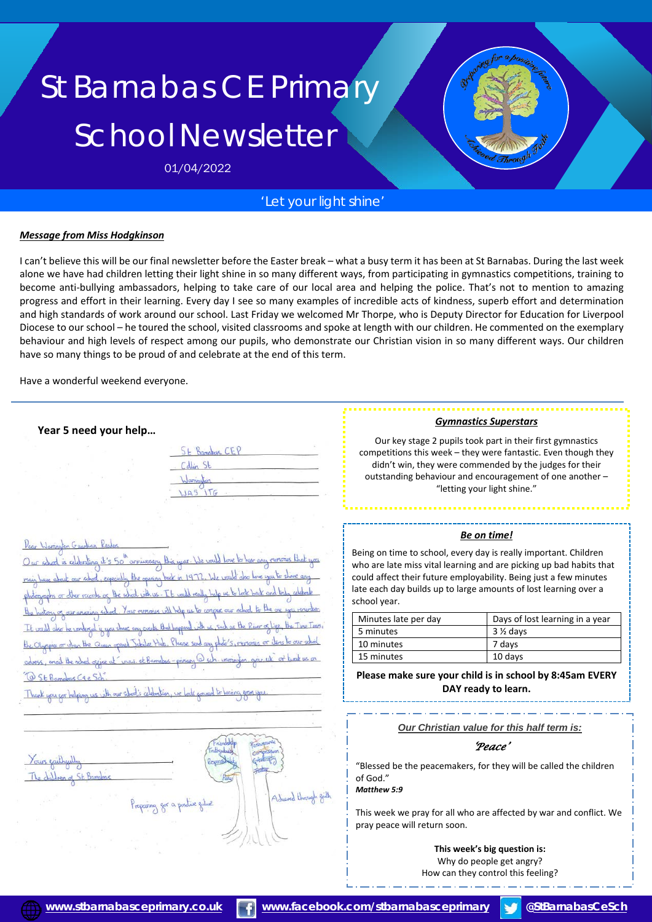# St Barnabas CE Primary School Newsletter

01/04/2022

### *'Let your light shine'*

#### *Message from Miss Hodgkinson*

I can't believe this will be our final newsletter before the Easter break – what a busy term it has been at St Barnabas. During the last week alone we have had children letting their light shine in so many different ways, from participating in gymnastics competitions, training to become anti-bullying ambassadors, helping to take care of our local area and helping the police. That's not to mention to amazing progress and effort in their learning. Every day I see so many examples of incredible acts of kindness, superb effort and determination and high standards of work around our school. Last Friday we welcomed Mr Thorpe, who is Deputy Director for Education for Liverpool Diocese to our school – he toured the school, visited classrooms and spoke at length with our children. He commented on the exemplary behaviour and high levels of respect among our pupils, who demonstrate our Christian vision in so many different ways. Our children have so many things to be proud of and celebrate at the end of this term.

Have a wonderful weekend everyone.

#### **Year 5 need your help…**

| Romanys C<br>CEL<br>L |  |
|-----------------------|--|
|                       |  |
| Warrington            |  |
|                       |  |

ł

you for helping us with our school's celebration



#### *Gymnastics Superstars*

Our key stage 2 pupils took part in their first gymnastics competitions this week – they were fantastic. Even though they didn't win, they were commended by the judges for their outstanding behaviour and encouragement of one another – "letting your light shine."

#### *Be on time!*

Being on time to school, every day is really important. Children who are late miss vital learning and are picking up bad habits that could affect their future employability. Being just a few minutes late each day builds up to large amounts of lost learning over a school year.

| Minutes late per day | Days of lost learning in a year |
|----------------------|---------------------------------|
| 5 minutes            | $3\%$ days                      |
| 10 minutes           | 7 days                          |
| 15 minutes           | 10 days                         |

**Please make sure your child is in school by 8:45am EVERY DAY ready to learn.**

*Our Christian value for this half term is:*

#### *'Peace'*

"Blessed be the peacemakers, for they will be called the children of God."

*Matthew 5:9*

This week we pray for all who are affected by war and conflict. We pray peace will return soon.

> **This week's big question is:** Why do people get angry? How can they control this feeling?